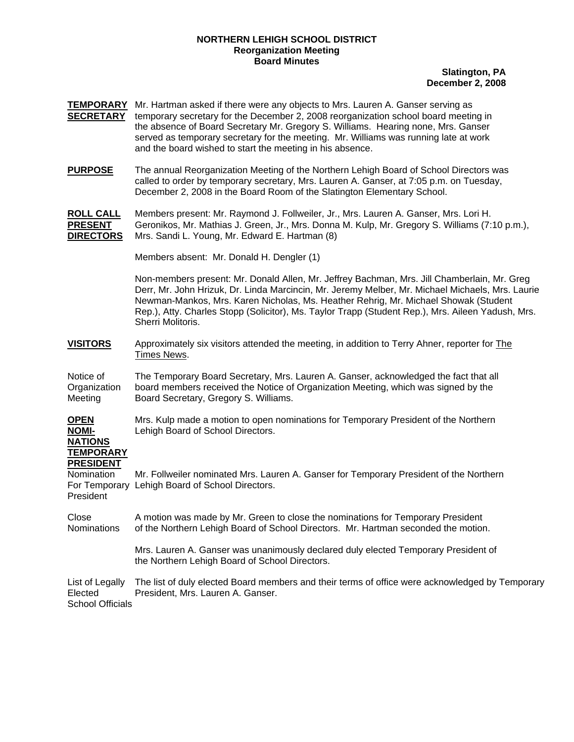## **NORTHERN LEHIGH SCHOOL DISTRICT Reorganization Meeting Board Minutes**

## **Slatington, PA December 2, 2008**

- **TEMPORARY** Mr. Hartman asked if there were any objects to Mrs. Lauren A. Ganser serving as **SECRETARY** temporary secretary for the December 2, 2008 reorganization school board meeting in the absence of Board Secretary Mr. Gregory S. Williams. Hearing none, Mrs. Ganser served as temporary secretary for the meeting. Mr. Williams was running late at work and the board wished to start the meeting in his absence.
- **PURPOSE** The annual Reorganization Meeting of the Northern Lehigh Board of School Directors was called to order by temporary secretary, Mrs. Lauren A. Ganser, at 7:05 p.m. on Tuesday, December 2, 2008 in the Board Room of the Slatington Elementary School.

**ROLL CALL** Members present: Mr. Raymond J. Follweiler, Jr., Mrs. Lauren A. Ganser, Mrs. Lori H. **PRESENT** Geronikos, Mr. Mathias J. Green, Jr., Mrs. Donna M. Kulp, Mr. Gregory S. Williams (7:10 p.m.), **DIRECTORS** Mrs. Sandi L. Young, Mr. Edward E. Hartman (8)

Members absent: Mr. Donald H. Dengler (1)

Non-members present: Mr. Donald Allen, Mr. Jeffrey Bachman, Mrs. Jill Chamberlain, Mr. Greg Derr, Mr. John Hrizuk, Dr. Linda Marcincin, Mr. Jeremy Melber, Mr. Michael Michaels, Mrs. Laurie Newman-Mankos, Mrs. Karen Nicholas, Ms. Heather Rehrig, Mr. Michael Showak (Student Rep.), Atty. Charles Stopp (Solicitor), Ms. Taylor Trapp (Student Rep.), Mrs. Aileen Yadush, Mrs. Sherri Molitoris.

**VISITORS** Approximately six visitors attended the meeting, in addition to Terry Ahner, reporter for The Times News.

Notice of The Temporary Board Secretary, Mrs. Lauren A. Ganser, acknowledged the fact that all Organization board members received the Notice of Organization Meeting, which was signed by the Meeting Board Secretary, Gregory S. Williams.

**OPEN** Mrs. Kulp made a motion to open nominations for Temporary President of the Northern **NOMI-** Lehigh Board of School Directors.

## **NATIONS TEMPORARY PRESIDENT**

Nomination Mr. Follweiler nominated Mrs. Lauren A. Ganser for Temporary President of the Northern For Temporary Lehigh Board of School Directors. President

Close A motion was made by Mr. Green to close the nominations for Temporary President Nominations of the Northern Lehigh Board of School Directors. Mr. Hartman seconded the motion.

> Mrs. Lauren A. Ganser was unanimously declared duly elected Temporary President of the Northern Lehigh Board of School Directors.

List of Legally The list of duly elected Board members and their terms of office were acknowledged by Temporary Elected President, Mrs. Lauren A. Ganser. School Officials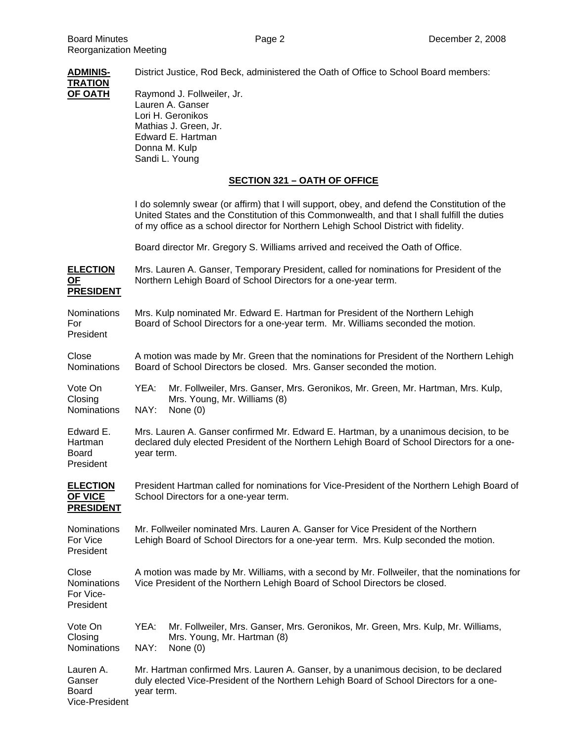**ADMINIS-** District Justice, Rod Beck, administered the Oath of Office to School Board members: **TRATION OF OATH** Raymond J. Follweiler, Jr. Lauren A. Ganser Lori H. Geronikos Mathias J. Green, Jr. Edward E. Hartman Donna M. Kulp Sandi L. Young **SECTION 321 – OATH OF OFFICE** I do solemnly swear (or affirm) that I will support, obey, and defend the Constitution of the United States and the Constitution of this Commonwealth, and that I shall fulfill the duties of my office as a school director for Northern Lehigh School District with fidelity. Board director Mr. Gregory S. Williams arrived and received the Oath of Office. **ELECTION** Mrs. Lauren A. Ganser, Temporary President, called for nominations for President of the **OF** Northern Lehigh Board of School Directors for a one-year term. **PRESIDENT** Nominations Mrs. Kulp nominated Mr. Edward E. Hartman for President of the Northern Lehigh For Board of School Directors for a one-year term. Mr. Williams seconded the motion. President Close A motion was made by Mr. Green that the nominations for President of the Northern Lehigh Nominations Board of School Directors be closed. Mrs. Ganser seconded the motion. Vote On YEA: Mr. Follweiler, Mrs. Ganser, Mrs. Geronikos, Mr. Green, Mr. Hartman, Mrs. Kulp, Closing Mrs. Young, Mr. Williams (8) Nominations NAY: None (0) Edward E. Mrs. Lauren A. Ganser confirmed Mr. Edward E. Hartman, by a unanimous decision, to be Hartman declared duly elected President of the Northern Lehigh Board of School Directors for a one-Board year term. President **ELECTION** President Hartman called for nominations for Vice-President of the Northern Lehigh Board of **OF VICE** School Directors for a one-year term. **PRESIDENT** Nominations Mr. Follweiler nominated Mrs. Lauren A. Ganser for Vice President of the Northern For Vice Lehigh Board of School Directors for a one-year term. Mrs. Kulp seconded the motion. President Close A motion was made by Mr. Williams, with a second by Mr. Follweiler, that the nominations for Nominations Vice President of the Northern Lehigh Board of School Directors be closed. For Vice-President Vote On YEA: Mr. Follweiler, Mrs. Ganser, Mrs. Geronikos, Mr. Green, Mrs. Kulp, Mr. Williams, Closing Mrs. Young, Mr. Hartman (8) Nominations NAY: None (0)

Lauren A. Mr. Hartman confirmed Mrs. Lauren A. Ganser, by a unanimous decision, to be declared Ganser duly elected Vice-President of the Northern Lehigh Board of School Directors for a one-Board year term. Vice-President